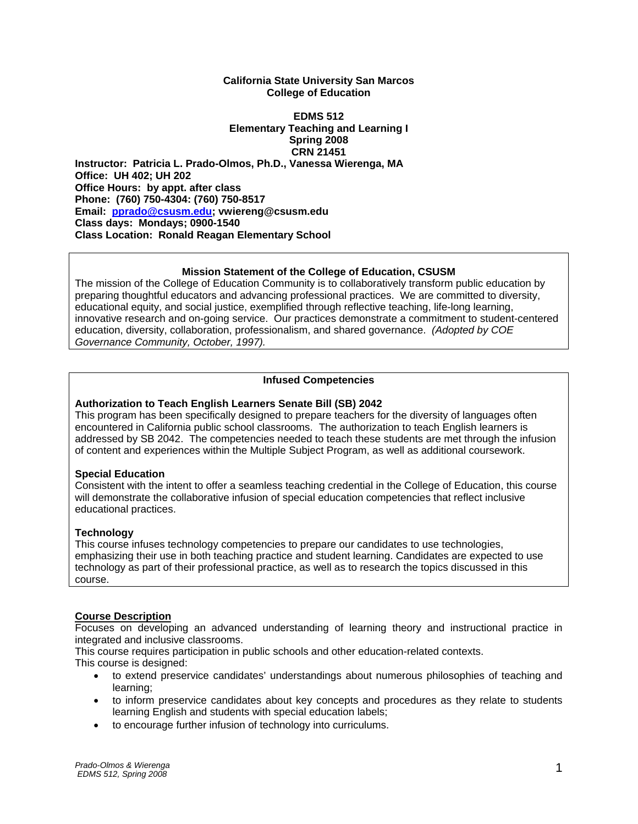#### **California State University San Marcos College of Education**

#### **EDMS 512 Elementary Teaching and Learning I Spring 2008 CRN 21451 Instructor: Patricia L. Prado-Olmos, Ph.D., Vanessa Wierenga, MA Office: UH 402; UH 202 Office Hours: by appt. after class Phone: (760) 750-4304: (760) 750-8517 Email: pprado@csusm.edu; vwiereng@csusm.edu Class days: Mondays; 0900-1540 Class Location: Ronald Reagan Elementary School**

#### **Mission Statement of the College of Education, CSUSM**

The mission of the College of Education Community is to collaboratively transform public education by preparing thoughtful educators and advancing professional practices. We are committed to diversity, educational equity, and social justice, exemplified through reflective teaching, life-long learning, innovative research and on-going service. Our practices demonstrate a commitment to student-centered education, diversity, collaboration, professionalism, and shared governance. *(Adopted by COE Governance Community, October, 1997).* 

#### **Infused Competencies**

#### **Authorization to Teach English Learners Senate Bill (SB) 2042**

This program has been specifically designed to prepare teachers for the diversity of languages often encountered in California public school classrooms. The authorization to teach English learners is addressed by SB 2042. The competencies needed to teach these students are met through the infusion of content and experiences within the Multiple Subject Program, as well as additional coursework.

#### **Special Education**

Consistent with the intent to offer a seamless teaching credential in the College of Education, this course will demonstrate the collaborative infusion of special education competencies that reflect inclusive educational practices.

#### **Technology**

This course infuses technology competencies to prepare our candidates to use technologies, emphasizing their use in both teaching practice and student learning. Candidates are expected to use technology as part of their professional practice, as well as to research the topics discussed in this course.

#### **Course Description**

Focuses on developing an advanced understanding of learning theory and instructional practice in integrated and inclusive classrooms.

This course requires participation in public schools and other education-related contexts.

This course is designed:

- to extend preservice candidates' understandings about numerous philosophies of teaching and learning;
- to inform preservice candidates about key concepts and procedures as they relate to students learning English and students with special education labels;
- to encourage further infusion of technology into curriculums.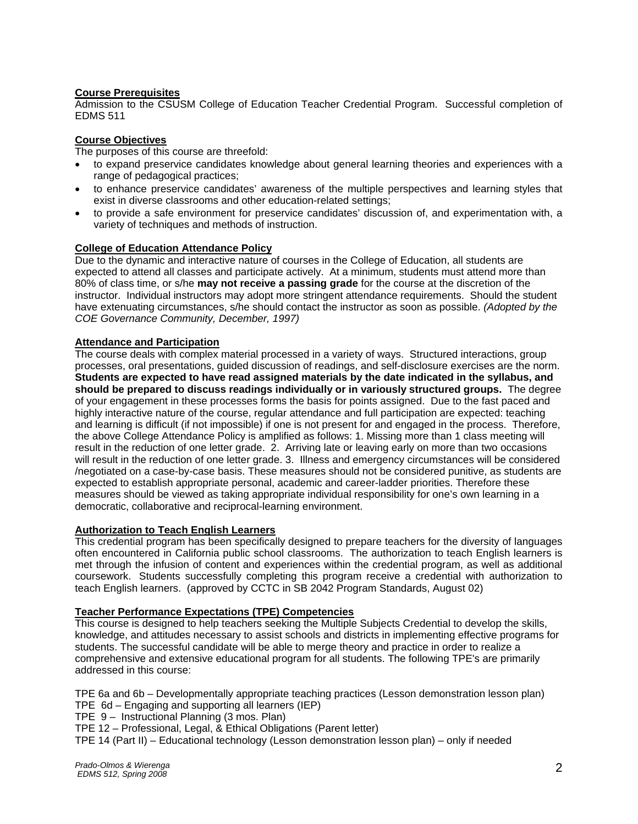#### **Course Prerequisites**

Admission to the CSUSM College of Education Teacher Credential Program. Successful completion of EDMS 511

#### **Course Objectives**

The purposes of this course are threefold:

- to expand preservice candidates knowledge about general learning theories and experiences with a range of pedagogical practices;
- to enhance preservice candidates' awareness of the multiple perspectives and learning styles that exist in diverse classrooms and other education-related settings;
- to provide a safe environment for preservice candidates' discussion of, and experimentation with, a variety of techniques and methods of instruction.

#### **College of Education Attendance Policy**

Due to the dynamic and interactive nature of courses in the College of Education, all students are expected to attend all classes and participate actively. At a minimum, students must attend more than 80% of class time, or s/he **may not receive a passing grade** for the course at the discretion of the instructor. Individual instructors may adopt more stringent attendance requirements. Should the student have extenuating circumstances, s/he should contact the instructor as soon as possible. *(Adopted by the COE Governance Community, December, 1997)*

#### **Attendance and Participation**

The course deals with complex material processed in a variety of ways. Structured interactions, group processes, oral presentations, guided discussion of readings, and self-disclosure exercises are the norm. **Students are expected to have read assigned materials by the date indicated in the syllabus, and should be prepared to discuss readings individually or in variously structured groups.** The degree of your engagement in these processes forms the basis for points assigned. Due to the fast paced and highly interactive nature of the course, regular attendance and full participation are expected: teaching and learning is difficult (if not impossible) if one is not present for and engaged in the process. Therefore, the above College Attendance Policy is amplified as follows: 1. Missing more than 1 class meeting will result in the reduction of one letter grade. 2. Arriving late or leaving early on more than two occasions will result in the reduction of one letter grade. 3. Illness and emergency circumstances will be considered /negotiated on a case-by-case basis. These measures should not be considered punitive, as students are expected to establish appropriate personal, academic and career-ladder priorities. Therefore these measures should be viewed as taking appropriate individual responsibility for one's own learning in a democratic, collaborative and reciprocal-learning environment.

# **Authorization to Teach English Learners**

This credential program has been specifically designed to prepare teachers for the diversity of languages often encountered in California public school classrooms. The authorization to teach English learners is met through the infusion of content and experiences within the credential program, as well as additional coursework. Students successfully completing this program receive a credential with authorization to teach English learners. (approved by CCTC in SB 2042 Program Standards, August 02)

#### **Teacher Performance Expectations (TPE) Competencies**

This course is designed to help teachers seeking the Multiple Subjects Credential to develop the skills, knowledge, and attitudes necessary to assist schools and districts in implementing effective programs for students. The successful candidate will be able to merge theory and practice in order to realize a comprehensive and extensive educational program for all students. The following TPE's are primarily addressed in this course:

TPE 6a and 6b – Developmentally appropriate teaching practices (Lesson demonstration lesson plan)

TPE 6d – Engaging and supporting all learners (IEP)

TPE 9 – Instructional Planning (3 mos. Plan)

TPE 12 – Professional, Legal, & Ethical Obligations (Parent letter)

TPE 14 (Part II) – Educational technology (Lesson demonstration lesson plan) – only if needed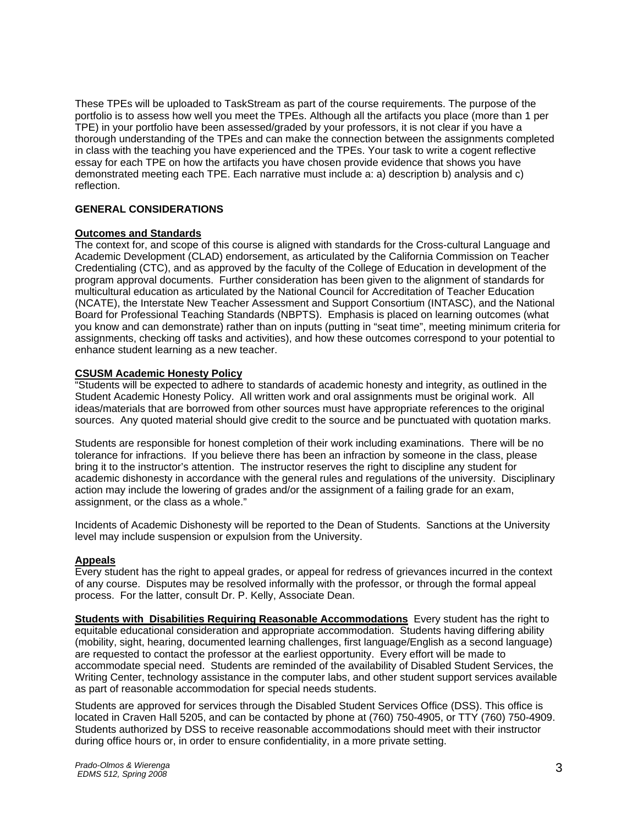These TPEs will be uploaded to TaskStream as part of the course requirements. The purpose of the portfolio is to assess how well you meet the TPEs. Although all the artifacts you place (more than 1 per TPE) in your portfolio have been assessed/graded by your professors, it is not clear if you have a thorough understanding of the TPEs and can make the connection between the assignments completed in class with the teaching you have experienced and the TPEs. Your task to write a cogent reflective essay for each TPE on how the artifacts you have chosen provide evidence that shows you have demonstrated meeting each TPE. Each narrative must include a: a) description b) analysis and c) reflection.

#### **GENERAL CONSIDERATIONS**

#### **Outcomes and Standards**

The context for, and scope of this course is aligned with standards for the Cross-cultural Language and Academic Development (CLAD) endorsement, as articulated by the California Commission on Teacher Credentialing (CTC), and as approved by the faculty of the College of Education in development of the program approval documents. Further consideration has been given to the alignment of standards for multicultural education as articulated by the National Council for Accreditation of Teacher Education (NCATE), the Interstate New Teacher Assessment and Support Consortium (INTASC), and the National Board for Professional Teaching Standards (NBPTS). Emphasis is placed on learning outcomes (what you know and can demonstrate) rather than on inputs (putting in "seat time", meeting minimum criteria for assignments, checking off tasks and activities), and how these outcomes correspond to your potential to enhance student learning as a new teacher.

#### **CSUSM Academic Honesty Policy**

**EXPLASS EXPLASS EXPLASS EXPLASS EXPLASS CONTERNATION** "Students will be expected to adhere to standards of academic honesty and integrity, as outlined in the Student Academic Honesty Policy. All written work and oral assignments must be original work. All ideas/materials that are borrowed from other sources must have appropriate references to the original sources. Any quoted material should give credit to the source and be punctuated with quotation marks.

Students are responsible for honest completion of their work including examinations. There will be no tolerance for infractions. If you believe there has been an infraction by someone in the class, please bring it to the instructor's attention. The instructor reserves the right to discipline any student for academic dishonesty in accordance with the general rules and regulations of the university. Disciplinary action may include the lowering of grades and/or the assignment of a failing grade for an exam, assignment, or the class as a whole."

Incidents of Academic Dishonesty will be reported to the Dean of Students. Sanctions at the University level may include suspension or expulsion from the University.

#### **Appeals**

Every student has the right to appeal grades, or appeal for redress of grievances incurred in the context of any course. Disputes may be resolved informally with the professor, or through the formal appeal process. For the latter, consult Dr. P. Kelly, Associate Dean.

**Students with Disabilities Requiring Reasonable Accommodations** Every student has the right to equitable educational consideration and appropriate accommodation. Students having differing ability (mobility, sight, hearing, documented learning challenges, first language/English as a second language) are requested to contact the professor at the earliest opportunity. Every effort will be made to accommodate special need. Students are reminded of the availability of Disabled Student Services, the Writing Center, technology assistance in the computer labs, and other student support services available as part of reasonable accommodation for special needs students.

Students are approved for services through the Disabled Student Services Office (DSS). This office is located in Craven Hall 5205, and can be contacted by phone at (760) 750-4905, or TTY (760) 750-4909. Students authorized by DSS to receive reasonable accommodations should meet with their instructor during office hours or, in order to ensure confidentiality, in a more private setting.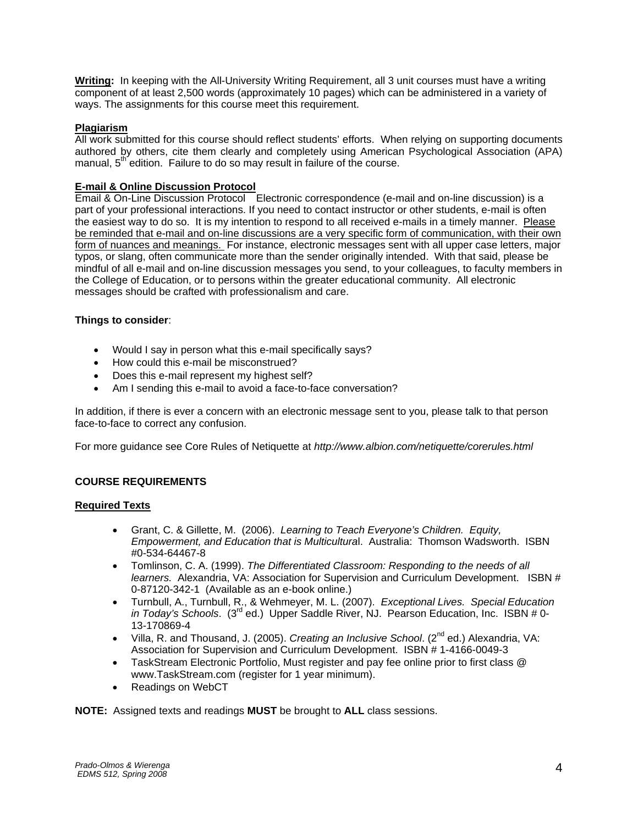**Writing:** In keeping with the All-University Writing Requirement, all 3 unit courses must have a writing component of at least 2,500 words (approximately 10 pages) which can be administered in a variety of ways. The assignments for this course meet this requirement.

### **Plagiarism**

All work submitted for this course should reflect students' efforts. When relying on supporting documents authored by others, cite them clearly and completely using American Psychological Association (APA) manual,  $5<sup>th</sup>$  edition. Failure to do so may result in failure of the course.

# **E-mail & Online Discussion Protocol**

Email & On-Line Discussion Protocol Electronic correspondence (e-mail and on-line discussion) is a part of your professional interactions. If you need to contact instructor or other students, e-mail is often the easiest way to do so. It is my intention to respond to all received e-mails in a timely manner. Please be reminded that e-mail and on-line discussions are a very specific form of communication, with their own form of nuances and meanings. For instance, electronic messages sent with all upper case letters, major typos, or slang, often communicate more than the sender originally intended. With that said, please be mindful of all e-mail and on-line discussion messages you send, to your colleagues, to faculty members in the College of Education, or to persons within the greater educational community. All electronic messages should be crafted with professionalism and care.

### **Things to consider**:

- Would I say in person what this e-mail specifically says?
- How could this e-mail be misconstrued?
- Does this e-mail represent my highest self?
- Am I sending this e-mail to avoid a face-to-face conversation?

In addition, if there is ever a concern with an electronic message sent to you, please talk to that person face-to-face to correct any confusion.

For more guidance see Core Rules of Netiquette at *http://www.albion.com/netiquette/corerules.html*

# **COURSE REQUIREMENTS**

### **Required Texts**

- Grant, C. & Gillette, M. (2006). *Learning to Teach Everyone's Children. Equity, Empowerment, and Education that is Multicultura*l. Australia: Thomson Wadsworth. ISBN #0-534-64467-8
- Tomlinson, C. A. (1999). *The Differentiated Classroom: Responding to the needs of all learners.* Alexandria, VA: Association for Supervision and Curriculum Development. ISBN # 0-87120-342-1 (Available as an e-book online.)
- Turnbull, A., Turnbull, R., & Wehmeyer, M. L. (2007). *Exceptional Lives. Special Education in Today's Schools*. (3rd ed.) Upper Saddle River, NJ. Pearson Education, Inc. ISBN # 0- 13-170869-4
- Villa, R. and Thousand, J. (2005). *Creating an Inclusive School*. (2<sup>nd</sup> ed.) Alexandria, VA: Association for Supervision and Curriculum Development. ISBN # 1-4166-0049-3
- TaskStream Electronic Portfolio, Must register and pay fee online prior to first class @ www.TaskStream.com (register for 1 year minimum).
- Readings on WebCT

**NOTE:** Assigned texts and readings **MUST** be brought to **ALL** class sessions.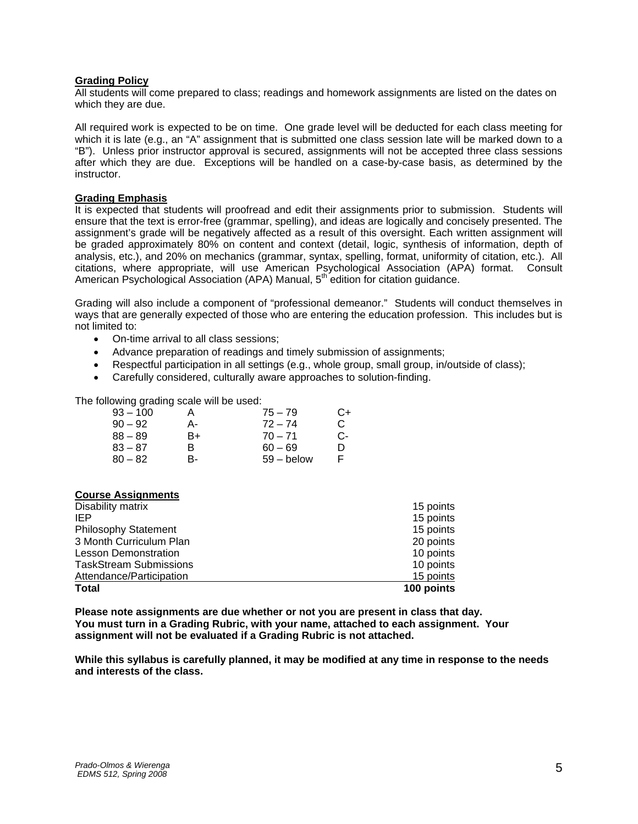#### **Grading Policy**

All students will come prepared to class; readings and homework assignments are listed on the dates on which they are due.

All required work is expected to be on time. One grade level will be deducted for each class meeting for which it is late (e.g., an "A" assignment that is submitted one class session late will be marked down to a "B"). Unless prior instructor approval is secured, assignments will not be accepted three class sessions after which they are due. Exceptions will be handled on a case-by-case basis, as determined by the instructor.

#### **Grading Emphasis**

It is expected that students will proofread and edit their assignments prior to submission. Students will ensure that the text is error-free (grammar, spelling), and ideas are logically and concisely presented. The assignment's grade will be negatively affected as a result of this oversight. Each written assignment will be graded approximately 80% on content and context (detail, logic, synthesis of information, depth of analysis, etc.), and 20% on mechanics (grammar, syntax, spelling, format, uniformity of citation, etc.). All citations, where appropriate, will use American Psychological Association (APA) format. Consult American Psychological Association (APA) Manual, 5th edition for citation guidance.

Grading will also include a component of "professional demeanor." Students will conduct themselves in ways that are generally expected of those who are entering the education profession. This includes but is not limited to:

- On-time arrival to all class sessions;
- Advance preparation of readings and timely submission of assignments;
- Respectful participation in all settings (e.g., whole group, small group, in/outside of class);
- Carefully considered, culturally aware approaches to solution-finding.

The following grading scale will be used:

| $93 - 100$ | A  | $75 - 79$    | C+ |
|------------|----|--------------|----|
| $90 - 92$  | А- | $72 - 74$    | C. |
| $88 - 89$  | B+ | $70 - 71$    | C- |
| $83 - 87$  | R  | $60 - 69$    | D  |
| $80 - 82$  | R- | $59 -$ below |    |

#### **Course Assignments**

| Disability matrix             | 15 points  |
|-------------------------------|------------|
| IEP                           | 15 points  |
| <b>Philosophy Statement</b>   | 15 points  |
| 3 Month Curriculum Plan       | 20 points  |
| <b>Lesson Demonstration</b>   | 10 points  |
| <b>TaskStream Submissions</b> | 10 points  |
| Attendance/Participation      | 15 points  |
| <b>Total</b>                  | 100 points |

**Please note assignments are due whether or not you are present in class that day. You must turn in a Grading Rubric, with your name, attached to each assignment. Your assignment will not be evaluated if a Grading Rubric is not attached.** 

**While this syllabus is carefully planned, it may be modified at any time in response to the needs and interests of the class.**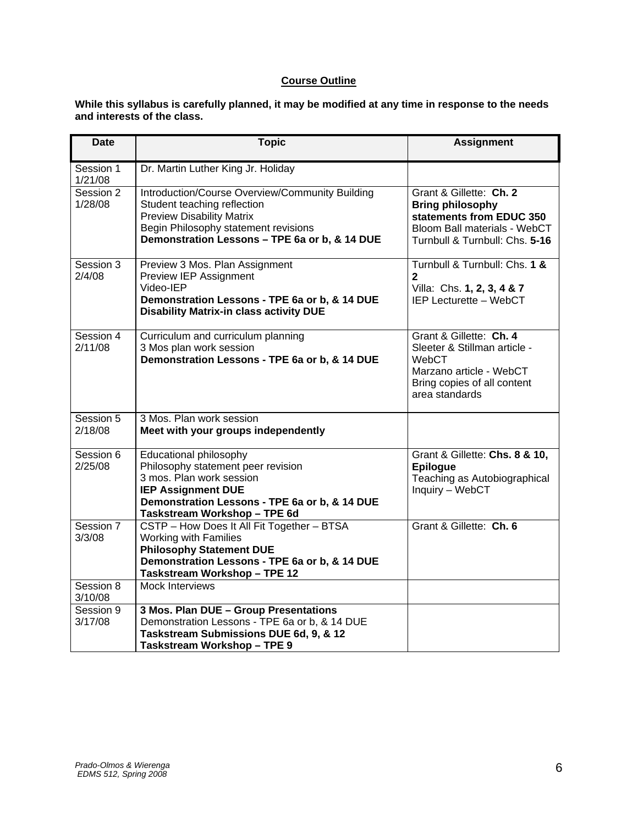# **Course Outline**

**While this syllabus is carefully planned, it may be modified at any time in response to the needs and interests of the class.** 

| <b>Date</b>          | <b>Topic</b>                                                                                                                                                                                                  | <b>Assignment</b>                                                                                                                                |
|----------------------|---------------------------------------------------------------------------------------------------------------------------------------------------------------------------------------------------------------|--------------------------------------------------------------------------------------------------------------------------------------------------|
| Session 1<br>1/21/08 | Dr. Martin Luther King Jr. Holiday                                                                                                                                                                            |                                                                                                                                                  |
| Session 2<br>1/28/08 | Introduction/Course Overview/Community Building<br>Student teaching reflection<br><b>Preview Disability Matrix</b><br>Begin Philosophy statement revisions<br>Demonstration Lessons - TPE 6a or b, & 14 DUE   | Grant & Gillette: Ch. 2<br><b>Bring philosophy</b><br>statements from EDUC 350<br>Bloom Ball materials - WebCT<br>Turnbull & Turnbull: Chs. 5-16 |
| Session 3<br>2/4/08  | Preview 3 Mos. Plan Assignment<br>Preview IEP Assignment<br>Video-IEP<br>Demonstration Lessons - TPE 6a or b, & 14 DUE<br><b>Disability Matrix-in class activity DUE</b>                                      | Turnbull & Turnbull: Chs. 1 &<br>$\mathbf{2}$<br>Villa: Chs. 1, 2, 3, 4 & 7<br>IEP Lecturette - WebCT                                            |
| Session 4<br>2/11/08 | Curriculum and curriculum planning<br>3 Mos plan work session<br>Demonstration Lessons - TPE 6a or b, & 14 DUE                                                                                                | Grant & Gillette: Ch. 4<br>Sleeter & Stillman article -<br>WebCT<br>Marzano article - WebCT<br>Bring copies of all content<br>area standards     |
| Session 5<br>2/18/08 | 3 Mos. Plan work session<br>Meet with your groups independently                                                                                                                                               |                                                                                                                                                  |
| Session 6<br>2/25/08 | <b>Educational philosophy</b><br>Philosophy statement peer revision<br>3 mos. Plan work session<br><b>IEP Assignment DUE</b><br>Demonstration Lessons - TPE 6a or b, & 14 DUE<br>Taskstream Workshop - TPE 6d | Grant & Gillette: Chs. 8 & 10,<br><b>Epilogue</b><br>Teaching as Autobiographical<br>Inquiry - WebCT                                             |
| Session 7<br>3/3/08  | CSTP - How Does It All Fit Together - BTSA<br>Working with Families<br><b>Philosophy Statement DUE</b><br>Demonstration Lessons - TPE 6a or b, & 14 DUE<br>Taskstream Workshop - TPE 12                       | Grant & Gillette: Ch. 6                                                                                                                          |
| Session 8<br>3/10/08 | <b>Mock Interviews</b>                                                                                                                                                                                        |                                                                                                                                                  |
| Session 9<br>3/17/08 | 3 Mos. Plan DUE - Group Presentations<br>Demonstration Lessons - TPE 6a or b, & 14 DUE<br>Taskstream Submissions DUE 6d, 9, & 12<br><b>Taskstream Workshop - TPE 9</b>                                        |                                                                                                                                                  |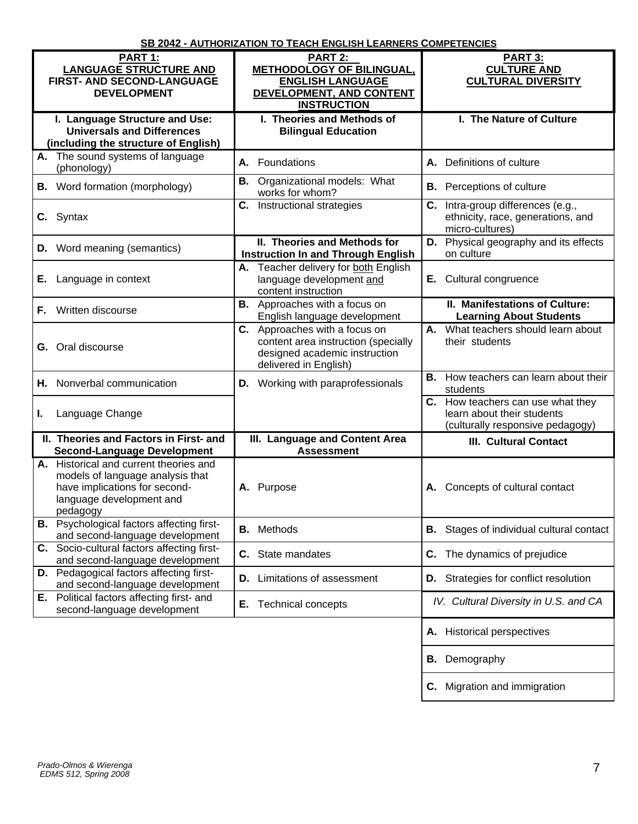|                                                                                                                                                     | <u> 36 ZU4Z - AUTHURIZATIUN TU TEACH ENGLISH LEARNERS CUMPETENCIES</u>                                                         |                                                                                                     |
|-----------------------------------------------------------------------------------------------------------------------------------------------------|--------------------------------------------------------------------------------------------------------------------------------|-----------------------------------------------------------------------------------------------------|
| PART 1:<br><b>LANGUAGE STRUCTURE AND</b><br><b>FIRST- AND SECOND-LANGUAGE</b><br><b>DEVELOPMENT</b>                                                 | PART 2:<br><b>METHODOLOGY OF BILINGUAL,</b><br><b>ENGLISH LANGUAGE</b><br>DEVELOPMENT, AND CONTENT<br><b>INSTRUCTION</b>       | PART 3:<br><b>CULTURE AND</b><br><b>CULTURAL DIVERSITY</b>                                          |
| I. Language Structure and Use:<br><b>Universals and Differences</b><br>(including the structure of English)                                         | I. Theories and Methods of<br><b>Bilingual Education</b>                                                                       | I. The Nature of Culture                                                                            |
| A. The sound systems of language<br>(phonology)                                                                                                     | Foundations<br>А.                                                                                                              | Definitions of culture<br>А.                                                                        |
| <b>B.</b> Word formation (morphology)                                                                                                               | <b>B.</b> Organizational models: What<br>works for whom?                                                                       | <b>B.</b> Perceptions of culture                                                                    |
| C. Syntax                                                                                                                                           | <b>C.</b> Instructional strategies                                                                                             | C. Intra-group differences (e.g.,<br>ethnicity, race, generations, and<br>micro-cultures)           |
| <b>D.</b> Word meaning (semantics)                                                                                                                  | II. Theories and Methods for<br><b>Instruction In and Through English</b>                                                      | D.<br>Physical geography and its effects<br>on culture                                              |
| Language in context<br>Е.                                                                                                                           | A. Teacher delivery for both English<br>language development and<br>content instruction                                        | E. Cultural congruence                                                                              |
| Written discourse<br>Е.                                                                                                                             | <b>B.</b> Approaches with a focus on<br>English language development                                                           | II. Manifestations of Culture:<br><b>Learning About Students</b>                                    |
| <b>G.</b> Oral discourse                                                                                                                            | C. Approaches with a focus on<br>content area instruction (specially<br>designed academic instruction<br>delivered in English) | What teachers should learn about<br>А.<br>their students                                            |
| Nonverbal communication<br>Н.                                                                                                                       | <b>D.</b> Working with paraprofessionals                                                                                       | How teachers can learn about their<br>В.<br>students                                                |
| Language Change<br>L.                                                                                                                               |                                                                                                                                | C. How teachers can use what they<br>learn about their students<br>(culturally responsive pedagogy) |
| II. Theories and Factors in First- and<br><b>Second-Language Development</b>                                                                        | III. Language and Content Area<br><b>Assessment</b>                                                                            | <b>III. Cultural Contact</b>                                                                        |
| A. Historical and current theories and<br>models of language analysis that<br>have implications for second-<br>language development and<br>pedagogy | A. Purpose                                                                                                                     | Concepts of cultural contact<br>Α.                                                                  |
| <b>B.</b> Psychological factors affecting first-<br>and second-language development                                                                 | Methods<br>В.                                                                                                                  | <b>B.</b> Stages of individual cultural contact                                                     |
| C. Socio-cultural factors affecting first-<br>and second-language development                                                                       | С.<br>State mandates                                                                                                           | The dynamics of prejudice<br>C.                                                                     |
| D. Pedagogical factors affecting first-<br>and second-language development                                                                          | Limitations of assessment<br>D.                                                                                                | <b>D.</b> Strategies for conflict resolution                                                        |
| Political factors affecting first- and<br>Е.<br>second-language development                                                                         | Е.<br><b>Technical concepts</b>                                                                                                | IV. Cultural Diversity in U.S. and CA                                                               |
|                                                                                                                                                     |                                                                                                                                | <b>Historical perspectives</b><br>Α.                                                                |
|                                                                                                                                                     |                                                                                                                                | <b>B.</b> Demography                                                                                |

# **SB 2042 - AUTHORIZATION TO TEACH ENGLISH LEARNERS COMPETENCIES**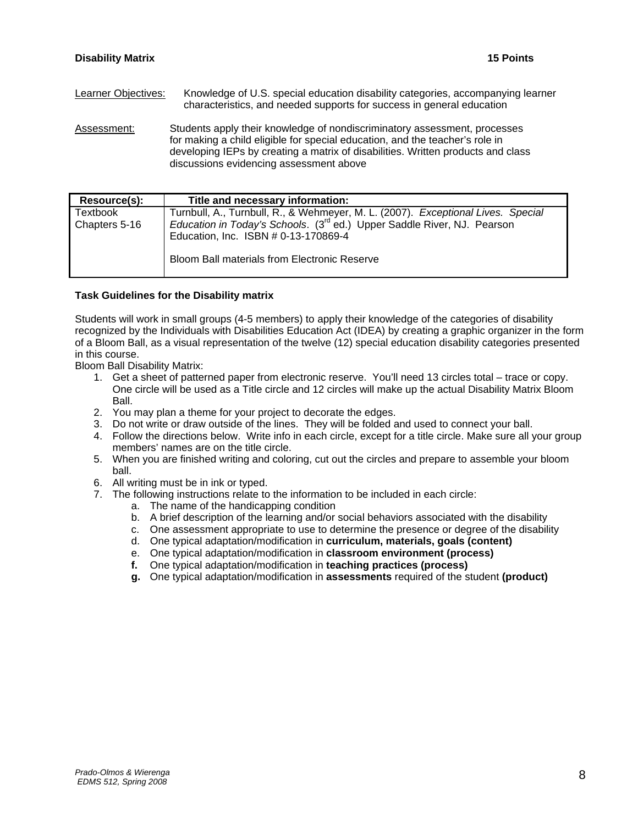Learner Objectives: Knowledge of U.S. special education disability categories, accompanying learner characteristics, and needed supports for success in general education Assessment: Students apply their knowledge of nondiscriminatory assessment, processes

for making a child eligible for special education, and the teacher's role in developing IEPs by creating a matrix of disabilities. Written products and class discussions evidencing assessment above

| Resource(s):  | Title and necessary information:                                                    |
|---------------|-------------------------------------------------------------------------------------|
| Textbook      | Turnbull, A., Turnbull, R., & Wehmeyer, M. L. (2007). Exceptional Lives. Special    |
| Chapters 5-16 | Education in Today's Schools. (3 <sup>rd</sup> ed.) Upper Saddle River, NJ. Pearson |
|               | Education, Inc. ISBN # 0-13-170869-4                                                |
|               | <b>Bloom Ball materials from Electronic Reserve</b>                                 |
|               |                                                                                     |

#### **Task Guidelines for the Disability matrix**

Students will work in small groups (4-5 members) to apply their knowledge of the categories of disability recognized by the Individuals with Disabilities Education Act (IDEA) by creating a graphic organizer in the form of a Bloom Ball, as a visual representation of the twelve (12) special education disability categories presented in this course.

Bloom Ball Disability Matrix:

- 1. Get a sheet of patterned paper from electronic reserve. You'll need 13 circles total trace or copy. One circle will be used as a Title circle and 12 circles will make up the actual Disability Matrix Bloom Ball.
- 2. You may plan a theme for your project to decorate the edges.
- 3. Do not write or draw outside of the lines. They will be folded and used to connect your ball.
- 4. Follow the directions below. Write info in each circle, except for a title circle. Make sure all your group members' names are on the title circle.
- 5. When you are finished writing and coloring, cut out the circles and prepare to assemble your bloom ball.
- 6. All writing must be in ink or typed.
- 7. The following instructions relate to the information to be included in each circle:
	- a. The name of the handicapping condition
	- b. A brief description of the learning and/or social behaviors associated with the disability
	- c. One assessment appropriate to use to determine the presence or degree of the disability
	- d. One typical adaptation/modification in **curriculum, materials, goals (content)**
	- e. One typical adaptation/modification in **classroom environment (process)**
	- **f.** One typical adaptation/modification in **teaching practices (process)**
	- **g.** One typical adaptation/modification in **assessments** required of the student **(product)**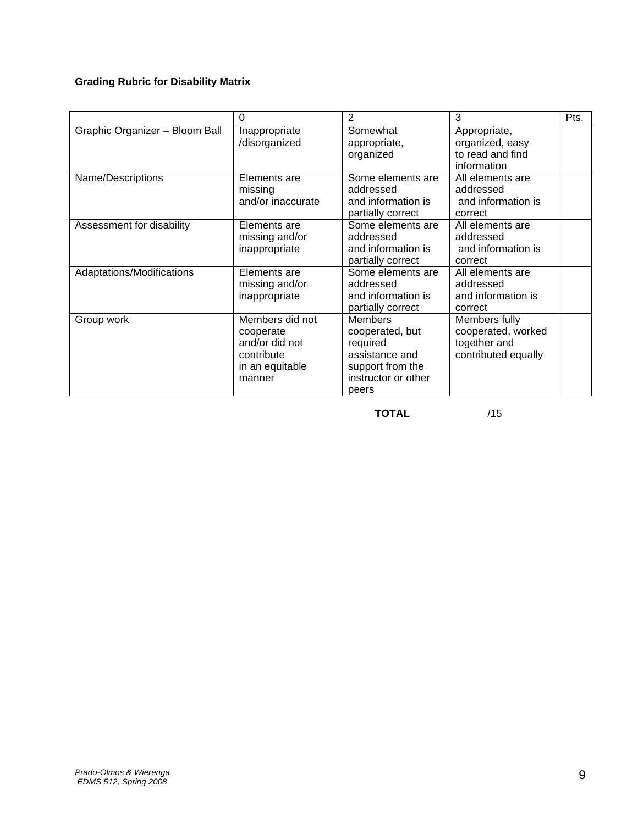# **Grading Rubric for Disability Matrix**

|                                | $\Omega$                                                                                  | 2                                                                                                                   | 3                                                                          | Pts. |
|--------------------------------|-------------------------------------------------------------------------------------------|---------------------------------------------------------------------------------------------------------------------|----------------------------------------------------------------------------|------|
| Graphic Organizer - Bloom Ball | Inappropriate<br>/disorganized                                                            | Somewhat<br>appropriate,<br>organized                                                                               | Appropriate,<br>organized, easy<br>to read and find<br>information         |      |
| Name/Descriptions              | Elements are<br>missing<br>and/or inaccurate                                              | Some elements are<br>addressed<br>and information is<br>partially correct                                           | All elements are<br>addressed<br>and information is<br>correct             |      |
| Assessment for disability      | Elements are<br>missing and/or<br>inappropriate                                           | Some elements are<br>addressed<br>and information is<br>partially correct                                           | All elements are<br>addressed<br>and information is<br>correct             |      |
| Adaptations/Modifications      | Elements are<br>missing and/or<br>inappropriate                                           | Some elements are<br>addressed<br>and information is<br>partially correct                                           | All elements are<br>addressed<br>and information is<br>correct             |      |
| Group work                     | Members did not<br>cooperate<br>and/or did not<br>contribute<br>in an equitable<br>manner | <b>Members</b><br>cooperated, but<br>required<br>assistance and<br>support from the<br>instructor or other<br>peers | Members fully<br>cooperated, worked<br>together and<br>contributed equally |      |

**TOTAL** /15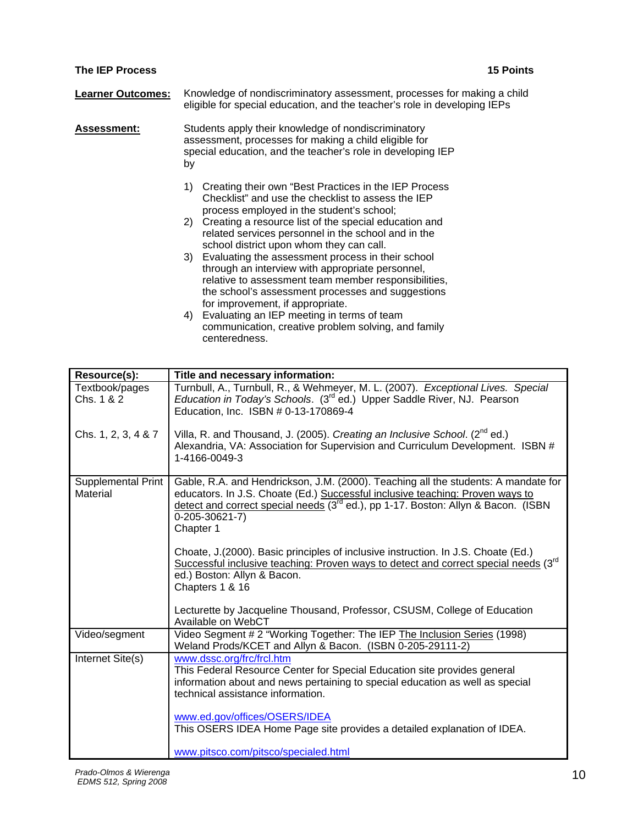### **The IEP Process 15 Points**

| <b>Learner Outcomes:</b> Knowledge of nondiscriminatory assessment, processes for making a child |
|--------------------------------------------------------------------------------------------------|
| eligible for special education, and the teacher's role in developing IEPs                        |

**Assessment:** Students apply their knowledge of nondiscriminatory assessment, processes for making a child eligible for special education, and the teacher's role in developing IEP by

> 1) Creating their own "Best Practices in the IEP Process Checklist" and use the checklist to assess the IEP process employed in the student's school;

- 2) Creating a resource list of the special education and related services personnel in the school and in the school district upon whom they can call.
- 3) Evaluating the assessment process in their school through an interview with appropriate personnel, relative to assessment team member responsibilities, the school's assessment processes and suggestions for improvement, if appropriate.
- 4) Evaluating an IEP meeting in terms of team communication, creative problem solving, and family centeredness.

| Resource(s):                   | Title and necessary information:                                                                                                                                                                                                                                                                           |
|--------------------------------|------------------------------------------------------------------------------------------------------------------------------------------------------------------------------------------------------------------------------------------------------------------------------------------------------------|
| Textbook/pages<br>Chs. 1 & 2   | Turnbull, A., Turnbull, R., & Wehmeyer, M. L. (2007). Exceptional Lives. Special<br>Education in Today's Schools. (3 <sup>rd</sup> ed.) Upper Saddle River, NJ. Pearson<br>Education, Inc. ISBN # 0-13-170869-4                                                                                            |
| Chs. 1, 2, 3, 4 & 7            | Villa, R. and Thousand, J. (2005). Creating an Inclusive School. (2 <sup>nd</sup> ed.)<br>Alexandria, VA: Association for Supervision and Curriculum Development. ISBN #<br>1-4166-0049-3                                                                                                                  |
| Supplemental Print<br>Material | Gable, R.A. and Hendrickson, J.M. (2000). Teaching all the students: A mandate for<br>educators. In J.S. Choate (Ed.) Successful inclusive teaching: Proven ways to<br>detect and correct special needs (3 <sup>rd</sup> ed.), pp 1-17. Boston: Allyn & Bacon. (ISBN<br>$0 - 205 - 30621 - 7$<br>Chapter 1 |
|                                | Choate, J. (2000). Basic principles of inclusive instruction. In J.S. Choate (Ed.)<br>Successful inclusive teaching: Proven ways to detect and correct special needs (3rd<br>ed.) Boston: Allyn & Bacon.<br>Chapters 1 & 16                                                                                |
|                                | Lecturette by Jacqueline Thousand, Professor, CSUSM, College of Education<br>Available on WebCT                                                                                                                                                                                                            |
| Video/segment                  | Video Segment # 2 "Working Together: The IEP The Inclusion Series (1998)<br>Weland Prods/KCET and Allyn & Bacon. (ISBN 0-205-29111-2)                                                                                                                                                                      |
| Internet Site(s)               | www.dssc.org/frc/frcl.htm<br>This Federal Resource Center for Special Education site provides general<br>information about and news pertaining to special education as well as special<br>technical assistance information.                                                                                |
|                                | www.ed.gov/offices/OSERS/IDEA<br>This OSERS IDEA Home Page site provides a detailed explanation of IDEA.                                                                                                                                                                                                   |
|                                | www.pitsco.com/pitsco/specialed.html                                                                                                                                                                                                                                                                       |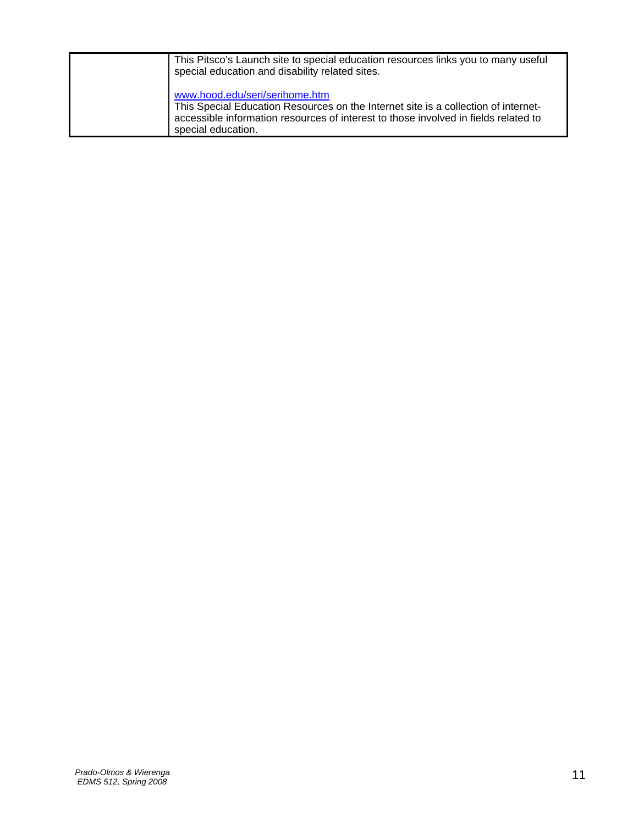| This Pitsco's Launch site to special education resources links you to many useful<br>special education and disability related sites.                                                                                              |
|-----------------------------------------------------------------------------------------------------------------------------------------------------------------------------------------------------------------------------------|
| www.hood.edu/seri/serihome.htm<br>This Special Education Resources on the Internet site is a collection of internet-<br>accessible information resources of interest to those involved in fields related to<br>special education. |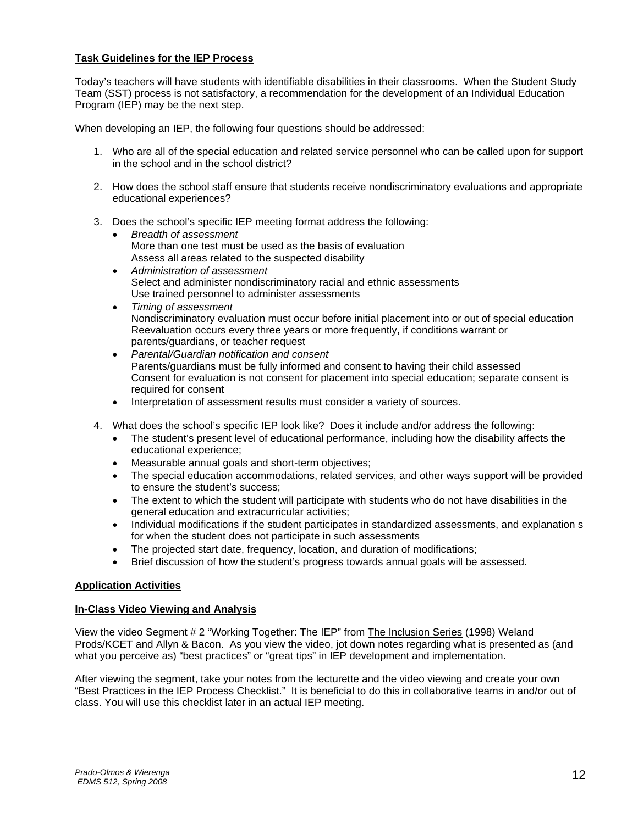#### **Task Guidelines for the IEP Process**

Today's teachers will have students with identifiable disabilities in their classrooms. When the Student Study Team (SST) process is not satisfactory, a recommendation for the development of an Individual Education Program (IEP) may be the next step.

When developing an IEP, the following four questions should be addressed:

- 1. Who are all of the special education and related service personnel who can be called upon for support in the school and in the school district?
- 2. How does the school staff ensure that students receive nondiscriminatory evaluations and appropriate educational experiences?
- 3. Does the school's specific IEP meeting format address the following:
	- *Breadth of assessment*  More than one test must be used as the basis of evaluation Assess all areas related to the suspected disability
	- *Administration of assessment*  Select and administer nondiscriminatory racial and ethnic assessments Use trained personnel to administer assessments
	- *Timing of assessment*  Nondiscriminatory evaluation must occur before initial placement into or out of special education Reevaluation occurs every three years or more frequently, if conditions warrant or parents/guardians, or teacher request
	- *Parental/Guardian notification and consent*  Parents/guardians must be fully informed and consent to having their child assessed Consent for evaluation is not consent for placement into special education; separate consent is required for consent
	- Interpretation of assessment results must consider a variety of sources.
- 4. What does the school's specific IEP look like? Does it include and/or address the following:
	- The student's present level of educational performance, including how the disability affects the educational experience;
	- Measurable annual goals and short-term objectives;
	- The special education accommodations, related services, and other ways support will be provided to ensure the student's success;
	- The extent to which the student will participate with students who do not have disabilities in the general education and extracurricular activities;
	- Individual modifications if the student participates in standardized assessments, and explanation s for when the student does not participate in such assessments
	- The projected start date, frequency, location, and duration of modifications;
	- Brief discussion of how the student's progress towards annual goals will be assessed.

#### **Application Activities**

#### **In-Class Video Viewing and Analysis**

View the video Segment # 2 "Working Together: The IEP" from The Inclusion Series (1998) Weland Prods/KCET and Allyn & Bacon. As you view the video, jot down notes regarding what is presented as (and what you perceive as) "best practices" or "great tips" in IEP development and implementation.

After viewing the segment, take your notes from the lecturette and the video viewing and create your own "Best Practices in the IEP Process Checklist." It is beneficial to do this in collaborative teams in and/or out of class. You will use this checklist later in an actual IEP meeting.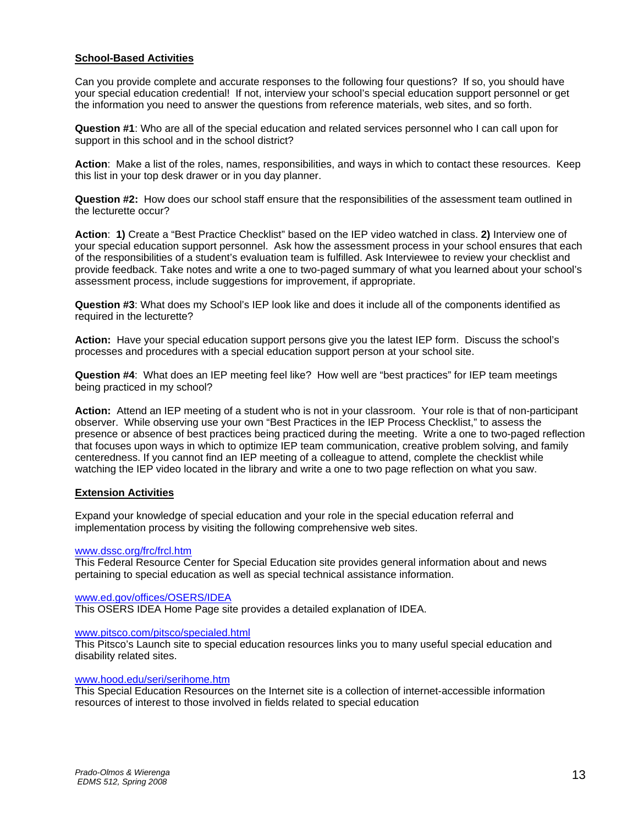#### **School-Based Activities**

Can you provide complete and accurate responses to the following four questions? If so, you should have your special education credential! If not, interview your school's special education support personnel or get the information you need to answer the questions from reference materials, web sites, and so forth.

**Question #1**: Who are all of the special education and related services personnel who I can call upon for support in this school and in the school district?

**Action**: Make a list of the roles, names, responsibilities, and ways in which to contact these resources. Keep this list in your top desk drawer or in you day planner.

**Question #2:** How does our school staff ensure that the responsibilities of the assessment team outlined in the lecturette occur?

**Action**: **1)** Create a "Best Practice Checklist" based on the IEP video watched in class. **2)** Interview one of your special education support personnel. Ask how the assessment process in your school ensures that each of the responsibilities of a student's evaluation team is fulfilled. Ask Interviewee to review your checklist and provide feedback. Take notes and write a one to two-paged summary of what you learned about your school's assessment process, include suggestions for improvement, if appropriate.

**Question #3**: What does my School's IEP look like and does it include all of the components identified as required in the lecturette?

**Action:** Have your special education support persons give you the latest IEP form. Discuss the school's processes and procedures with a special education support person at your school site.

**Question #4**: What does an IEP meeting feel like? How well are "best practices" for IEP team meetings being practiced in my school?

**Action:** Attend an IEP meeting of a student who is not in your classroom. Your role is that of non-participant observer. While observing use your own "Best Practices in the IEP Process Checklist," to assess the presence or absence of best practices being practiced during the meeting. Write a one to two-paged reflection that focuses upon ways in which to optimize IEP team communication, creative problem solving, and family centeredness. If you cannot find an IEP meeting of a colleague to attend, complete the checklist while watching the IEP video located in the library and write a one to two page reflection on what you saw.

#### **Extension Activities**

Expand your knowledge of special education and your role in the special education referral and implementation process by visiting the following comprehensive web sites.

#### www.dssc.org/frc/frcl.htm

This Federal Resource Center for Special Education site provides general information about and news pertaining to special education as well as special technical assistance information.

www.ed.gov/offices/OSERS/IDEA

This OSERS IDEA Home Page site provides a detailed explanation of IDEA.

#### www.pitsco.com/pitsco/specialed.html

This Pitsco's Launch site to special education resources links you to many useful special education and disability related sites.

#### www.hood.edu/seri/serihome.htm

This Special Education Resources on the Internet site is a collection of internet-accessible information resources of interest to those involved in fields related to special education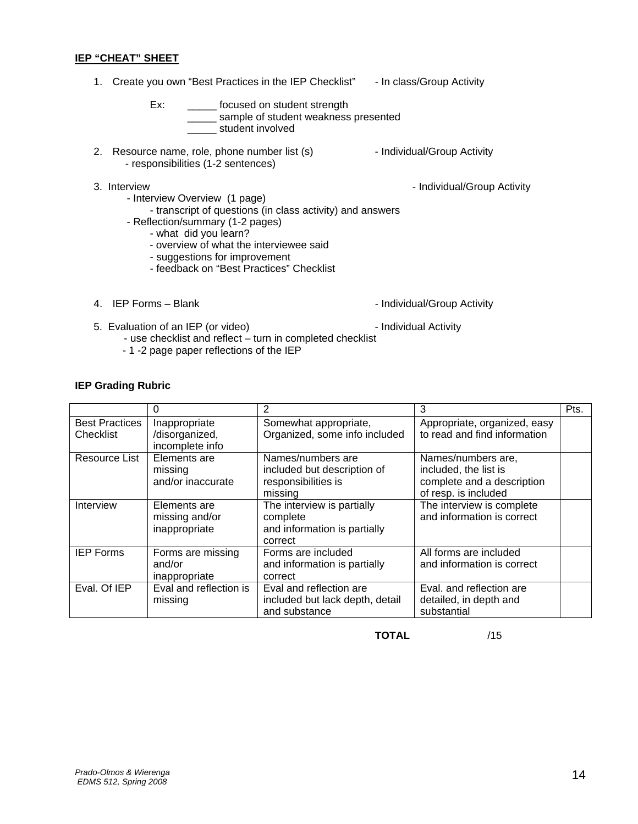#### **IEP "CHEAT" SHEET**

1. Create you own "Best Practices in the IEP Checklist" - In class/Group Activity Ex: \_\_\_\_\_\_ focused on student strength

- \_\_\_\_\_ sample of student weakness presented student involved
- 2. Resource name, role, phone number list (s) example 1 and individual/Group Activity - responsibilities (1-2 sentences)
- 3. Interview  **Individual/Group Activity** Individual/Group Activity
	- Interview Overview (1 page)
		- transcript of questions (in class activity) and answers
	- Reflection/summary (1-2 pages)
		- what did you learn?
		- overview of what the interviewee said
		- suggestions for improvement
		- feedback on "Best Practices" Checklist
- 

4. IEP Forms - Blank **Individual** Service 1 and 10 and 10 and 10 and 10 and 10 and 10 and 10 and 10 and 10 and 10 and 10 and 10 and 10 and 10 and 10 and 10 and 10 and 10 and 10 and 10 and 10 and 10 and 10 and 10 and 10 and

- 5. Evaluation of an IEP (or video)  $\overline{\phantom{a}}$  Individual Activity
	-
	- use checklist and reflect turn in completed checklist - 1 -2 page paper reflections of the IEP

#### **IEP Grading Rubric**

|                                    | 0                                                  | 2                                                                                  | 3                                                                                                 | Pts. |
|------------------------------------|----------------------------------------------------|------------------------------------------------------------------------------------|---------------------------------------------------------------------------------------------------|------|
| <b>Best Practices</b><br>Checklist | Inappropriate<br>/disorganized,<br>incomplete info | Somewhat appropriate,<br>Organized, some info included                             | Appropriate, organized, easy<br>to read and find information                                      |      |
| Resource List                      | Elements are<br>missing<br>and/or inaccurate       | Names/numbers are<br>included but description of<br>responsibilities is<br>missing | Names/numbers are,<br>included, the list is<br>complete and a description<br>of resp. is included |      |
| Interview                          | Elements are<br>missing and/or<br>inappropriate    | The interview is partially<br>complete<br>and information is partially<br>correct  | The interview is complete<br>and information is correct                                           |      |
| <b>IEP Forms</b>                   | Forms are missing<br>and/or<br>inappropriate       | Forms are included<br>and information is partially<br>correct                      | All forms are included<br>and information is correct                                              |      |
| Eval. Of IEP                       | Eval and reflection is<br>missing                  | Eval and reflection are<br>included but lack depth, detail<br>and substance        | Eval, and reflection are<br>detailed, in depth and<br>substantial                                 |      |

**TOTAL** /15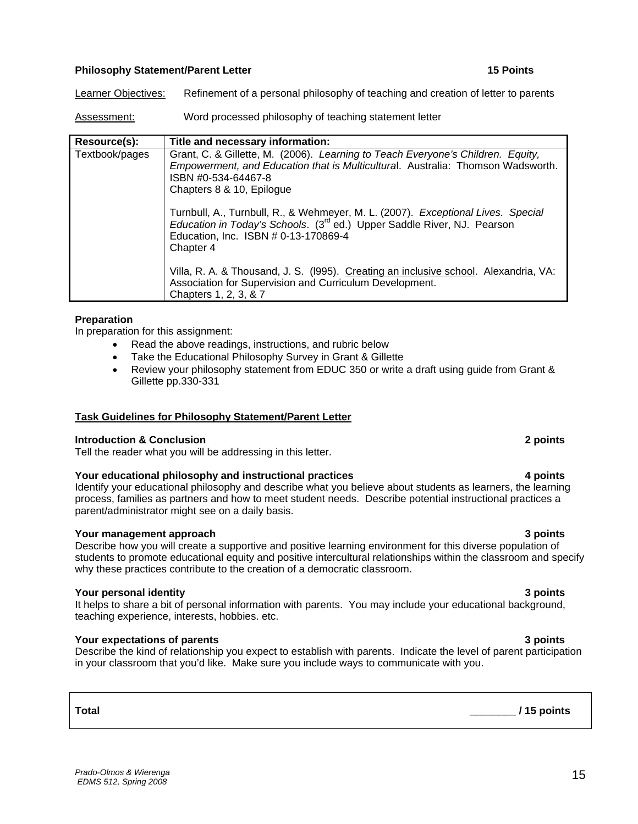### **Philosophy Statement/Parent Letter 15 Points 15 Points**

Learner Objectives: Refinement of a personal philosophy of teaching and creation of letter to parents

Assessment: Word processed philosophy of teaching statement letter

| Resource(s):   | Title and necessary information:                                                                                                                                                                                             |
|----------------|------------------------------------------------------------------------------------------------------------------------------------------------------------------------------------------------------------------------------|
| Textbook/pages | Grant, C. & Gillette, M. (2006). Learning to Teach Everyone's Children. Equity,<br>Empowerment, and Education that is Multicultural. Australia: Thomson Wadsworth.<br>ISBN #0-534-64467-8<br>Chapters 8 & 10, Epilogue       |
|                | Turnbull, A., Turnbull, R., & Wehmeyer, M. L. (2007). Exceptional Lives. Special<br>Education in Today's Schools. (3 <sup>rd</sup> ed.) Upper Saddle River, NJ. Pearson<br>Education, Inc. ISBN # 0-13-170869-4<br>Chapter 4 |
|                | Villa, R. A. & Thousand, J. S. (1995). Creating an inclusive school. Alexandria, VA:<br>Association for Supervision and Curriculum Development.<br>Chapters 1, 2, 3, & 7                                                     |

#### **Preparation**

In preparation for this assignment:

- Read the above readings, instructions, and rubric below
- Take the Educational Philosophy Survey in Grant & Gillette
- Review your philosophy statement from EDUC 350 or write a draft using quide from Grant & Gillette pp.330-331

### **Task Guidelines for Philosophy Statement/Parent Letter**

#### **Introduction & Conclusion 2 points**

Tell the reader what you will be addressing in this letter.

### **Your educational philosophy and instructional practices 4 points**

Identify your educational philosophy and describe what you believe about students as learners, the learning process, families as partners and how to meet student needs. Describe potential instructional practices a parent/administrator might see on a daily basis.

### **Your management approach 3 points 3 points**  3 points **3 points 3 points 3 points**

Describe how you will create a supportive and positive learning environment for this diverse population of students to promote educational equity and positive intercultural relationships within the classroom and specify why these practices contribute to the creation of a democratic classroom.

### **Your personal identity 3 points**

It helps to share a bit of personal information with parents. You may include your educational background, teaching experience, interests, hobbies. etc.

### **Your expectations of parents 3 points**

Describe the kind of relationship you expect to establish with parents. Indicate the level of parent participation in your classroom that you'd like. Make sure you include ways to communicate with you.

# **Total \_\_\_\_\_\_\_\_ / 15 points**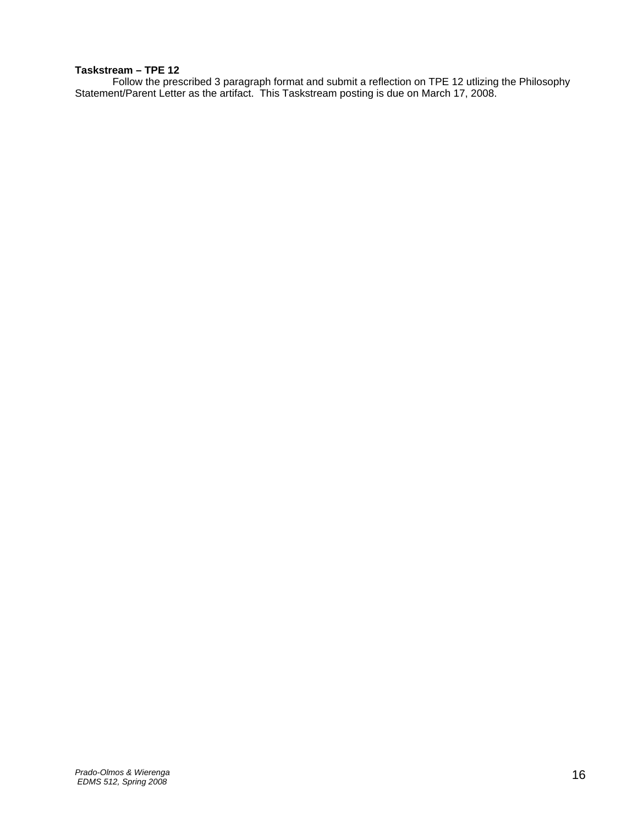# **Taskstream – TPE 12**

 Follow the prescribed 3 paragraph format and submit a reflection on TPE 12 utlizing the Philosophy Statement/Parent Letter as the artifact. This Taskstream posting is due on March 17, 2008.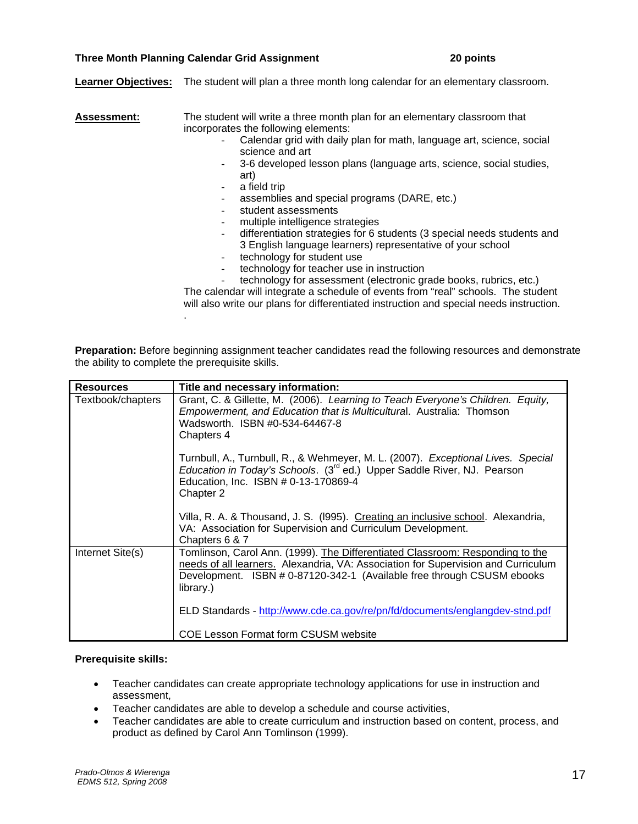#### **Three Month Planning Calendar Grid Assignment 20 points**

.

**Learner Objectives:** The student will plan a three month long calendar for an elementary classroom.

| <b>Assessment:</b> | The student will write a three month plan for an elementary classroom that               |
|--------------------|------------------------------------------------------------------------------------------|
|                    | incorporates the following elements:                                                     |
|                    | Calendar grid with daily plan for math, language art, science, social<br>science and art |
|                    | 3-6 developed lesson plans (language arts, science, social studies,                      |
|                    | art)                                                                                     |
|                    | a field trip                                                                             |
|                    | assemblies and special programs (DARE, etc.)                                             |
|                    | student assessments                                                                      |
|                    | multiple intelligence strategies                                                         |
|                    | differentiation strategies for 6 students (3 special needs students and                  |
|                    | 3 English language learners) representative of your school                               |
|                    | technology for student use                                                               |
|                    | technology for teacher use in instruction                                                |
|                    | technology for assessment (electronic grade books, rubrics, etc.)                        |
|                    | The calendar will integrate a schedule of events from "real" schools. The student        |
|                    | will also write our plans for differentiated instruction and special needs instruction.  |

**Preparation:** Before beginning assignment teacher candidates read the following resources and demonstrate the ability to complete the prerequisite skills.

| <b>Resources</b>  | Title and necessary information:                                                                                                                                                                                                                          |
|-------------------|-----------------------------------------------------------------------------------------------------------------------------------------------------------------------------------------------------------------------------------------------------------|
| Textbook/chapters | Grant, C. & Gillette, M. (2006). Learning to Teach Everyone's Children. Equity,<br>Empowerment, and Education that is Multicultural. Australia: Thomson<br>Wadsworth. ISBN #0-534-64467-8<br>Chapters 4                                                   |
|                   | Turnbull, A., Turnbull, R., & Wehmeyer, M. L. (2007). Exceptional Lives. Special<br>Education in Today's Schools. (3 <sup>rd</sup> ed.) Upper Saddle River, NJ. Pearson<br>Education, Inc. ISBN # 0-13-170869-4<br>Chapter 2                              |
|                   | Villa, R. A. & Thousand, J. S. (1995). Creating an inclusive school. Alexandria,<br>VA: Association for Supervision and Curriculum Development.<br>Chapters 6 & 7                                                                                         |
| Internet Site(s)  | Tomlinson, Carol Ann. (1999). The Differentiated Classroom: Responding to the<br>needs of all learners. Alexandria, VA: Association for Supervision and Curriculum<br>Development. ISBN # 0-87120-342-1 (Available free through CSUSM ebooks<br>library.) |
|                   | ELD Standards - http://www.cde.ca.gov/re/pn/fd/documents/englangdev-stnd.pdf                                                                                                                                                                              |
|                   | COE Lesson Format form CSUSM website                                                                                                                                                                                                                      |

#### **Prerequisite skills:**

- Teacher candidates can create appropriate technology applications for use in instruction and assessment,
- Teacher candidates are able to develop a schedule and course activities,
- Teacher candidates are able to create curriculum and instruction based on content, process, and product as defined by Carol Ann Tomlinson (1999).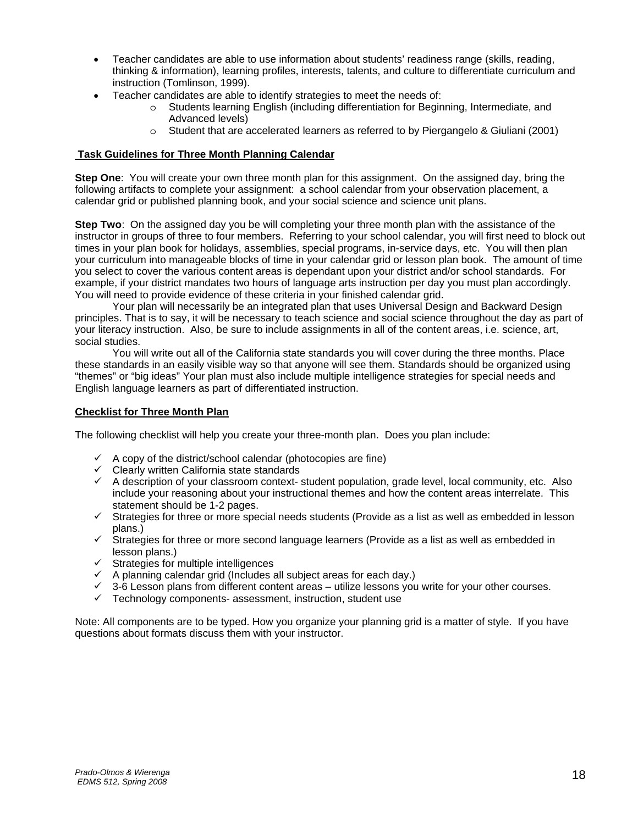- Teacher candidates are able to use information about students' readiness range (skills, reading, thinking & information), learning profiles, interests, talents, and culture to differentiate curriculum and instruction (Tomlinson, 1999).
- Teacher candidates are able to identify strategies to meet the needs of:
	- o Students learning English (including differentiation for Beginning, Intermediate, and Advanced levels)
	- o Student that are accelerated learners as referred to by Piergangelo & Giuliani (2001)

#### **Task Guidelines for Three Month Planning Calendar**

**Step One**: You will create your own three month plan for this assignment. On the assigned day, bring the following artifacts to complete your assignment: a school calendar from your observation placement, a calendar grid or published planning book, and your social science and science unit plans.

**Step Two**: On the assigned day you be will completing your three month plan with the assistance of the instructor in groups of three to four members. Referring to your school calendar, you will first need to block out times in your plan book for holidays, assemblies, special programs, in-service days, etc. You will then plan your curriculum into manageable blocks of time in your calendar grid or lesson plan book. The amount of time you select to cover the various content areas is dependant upon your district and/or school standards. For example, if your district mandates two hours of language arts instruction per day you must plan accordingly. You will need to provide evidence of these criteria in your finished calendar grid.

 Your plan will necessarily be an integrated plan that uses Universal Design and Backward Design principles. That is to say, it will be necessary to teach science and social science throughout the day as part of your literacy instruction. Also, be sure to include assignments in all of the content areas, i.e. science, art, social studies.

 You will write out all of the California state standards you will cover during the three months. Place these standards in an easily visible way so that anyone will see them. Standards should be organized using "themes" or "big ideas" Your plan must also include multiple intelligence strategies for special needs and English language learners as part of differentiated instruction.

#### **Checklist for Three Month Plan**

The following checklist will help you create your three-month plan. Does you plan include:

- $\checkmark$  A copy of the district/school calendar (photocopies are fine)
- $\checkmark$  Clearly written California state standards
- $\checkmark$  A description of your classroom context- student population, grade level, local community, etc. Also include your reasoning about your instructional themes and how the content areas interrelate. This statement should be 1-2 pages.
- $\checkmark$  Strategies for three or more special needs students (Provide as a list as well as embedded in lesson plans.)
- $\checkmark$  Strategies for three or more second language learners (Provide as a list as well as embedded in lesson plans.)
- $\checkmark$  Strategies for multiple intelligences
- $\checkmark$  A planning calendar grid (Includes all subject areas for each day.)
- $\checkmark$  3-6 Lesson plans from different content areas utilize lessons you write for your other courses.<br> $\checkmark$  Technology components- assessment, instruction, student use
- Technology components- assessment, instruction, student use

Note: All components are to be typed. How you organize your planning grid is a matter of style. If you have questions about formats discuss them with your instructor.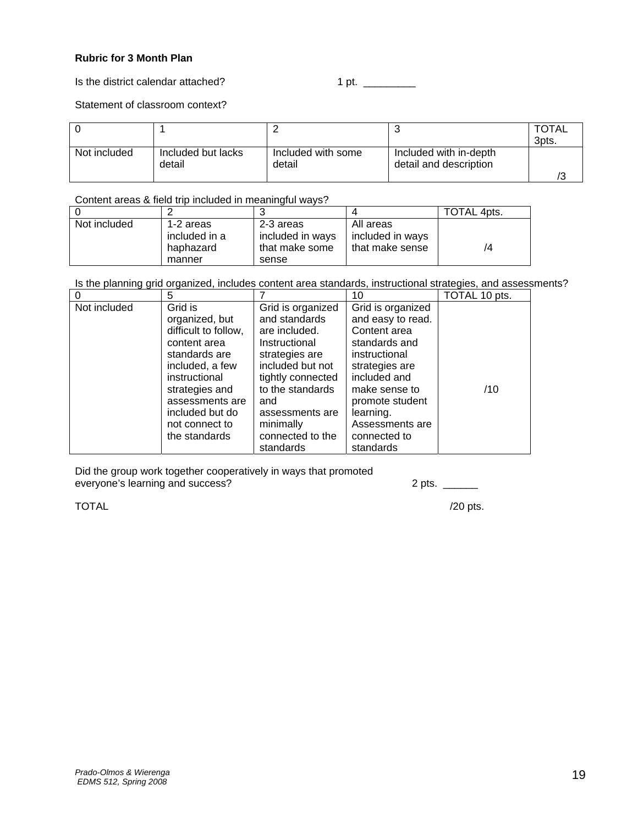## **Rubric for 3 Month Plan**

Is the district calendar attached? 1 pt. \_\_\_\_\_\_\_\_\_\_

Statement of classroom context?

|              |                              |                              |                                                  | <b>TOTAL</b><br>3pts. |
|--------------|------------------------------|------------------------------|--------------------------------------------------|-----------------------|
| Not included | Included but lacks<br>detail | Included with some<br>detail | Included with in-depth<br>detail and description |                       |

Content areas & field trip included in meaningful ways?

|              |               |                  |                  | TOTAL 4pts. |
|--------------|---------------|------------------|------------------|-------------|
| Not included | 1-2 areas     | 2-3 areas        | All areas        |             |
|              | included in a | included in ways | included in ways |             |
|              | haphazard     | that make some   | that make sense  | /4          |
|              | manner        | sense            |                  |             |

Is the planning grid organized, includes content area standards, instructional strategies, and assessments?

| $\Omega$     | 5                                                                                                                                                                              |                                                                                                                                                                               | 10                                                                                                                                                                          | TOTAL 10 pts. |
|--------------|--------------------------------------------------------------------------------------------------------------------------------------------------------------------------------|-------------------------------------------------------------------------------------------------------------------------------------------------------------------------------|-----------------------------------------------------------------------------------------------------------------------------------------------------------------------------|---------------|
| Not included | Grid is<br>organized, but<br>difficult to follow,<br>content area<br>standards are<br>included, a few<br>instructional<br>strategies and<br>assessments are<br>included but do | Grid is organized<br>and standards<br>are included.<br>Instructional<br>strategies are<br>included but not<br>tightly connected<br>to the standards<br>and<br>assessments are | Grid is organized<br>and easy to read.<br>Content area<br>standards and<br>instructional<br>strategies are<br>included and<br>make sense to<br>promote student<br>learning. | /10           |
|              | not connect to<br>the standards                                                                                                                                                | minimally<br>connected to the                                                                                                                                                 | Assessments are<br>connected to                                                                                                                                             |               |
|              |                                                                                                                                                                                | standards                                                                                                                                                                     | standards                                                                                                                                                                   |               |

Did the group work together cooperatively in ways that promoted everyone's learning and success? 2 pts. \_\_\_\_\_\_

 $\blacksquare$  /20 pts.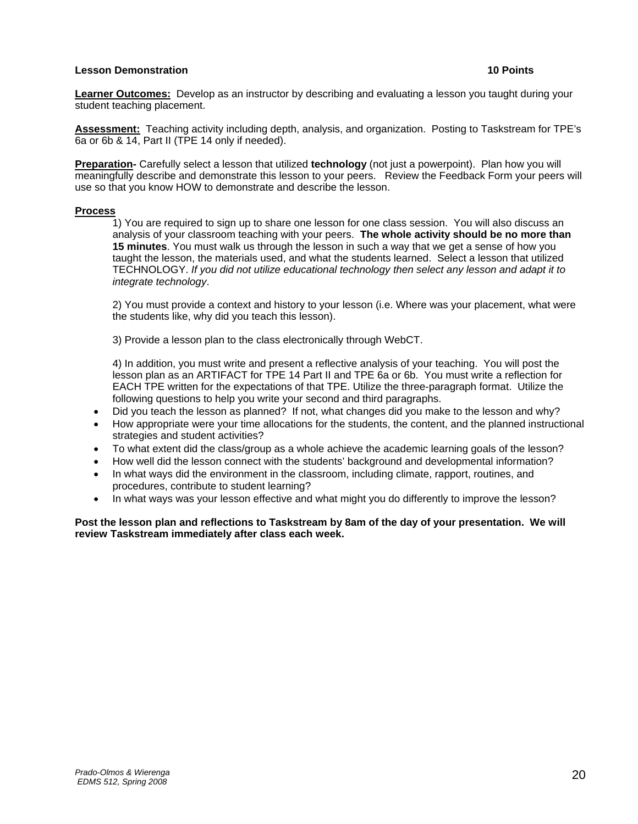#### **Lesson Demonstration 10 Points**

**Learner Outcomes:** Develop as an instructor by describing and evaluating a lesson you taught during your student teaching placement.

**Assessment:** Teaching activity including depth, analysis, and organization. Posting to Taskstream for TPE's 6a or 6b & 14, Part II (TPE 14 only if needed).

**Preparation-** Carefully select a lesson that utilized **technology** (not just a powerpoint). Plan how you will meaningfully describe and demonstrate this lesson to your peers. Review the Feedback Form your peers will use so that you know HOW to demonstrate and describe the lesson.

#### **Process**

 1) You are required to sign up to share one lesson for one class session. You will also discuss an analysis of your classroom teaching with your peers. **The whole activity should be no more than 15 minutes**. You must walk us through the lesson in such a way that we get a sense of how you taught the lesson, the materials used, and what the students learned. Select a lesson that utilized TECHNOLOGY. *If you did not utilize educational technology then select any lesson and adapt it to integrate technology*.

 2) You must provide a context and history to your lesson (i.e. Where was your placement, what were the students like, why did you teach this lesson).

3) Provide a lesson plan to the class electronically through WebCT.

 4) In addition, you must write and present a reflective analysis of your teaching. You will post the lesson plan as an ARTIFACT for TPE 14 Part II and TPE 6a or 6b. You must write a reflection for EACH TPE written for the expectations of that TPE. Utilize the three-paragraph format. Utilize the following questions to help you write your second and third paragraphs.

- Did you teach the lesson as planned? If not, what changes did you make to the lesson and why?
- How appropriate were your time allocations for the students, the content, and the planned instructional strategies and student activities?
- To what extent did the class/group as a whole achieve the academic learning goals of the lesson?
- How well did the lesson connect with the students' background and developmental information?
- In what ways did the environment in the classroom, including climate, rapport, routines, and procedures, contribute to student learning?
- In what ways was your lesson effective and what might you do differently to improve the lesson?

**Post the lesson plan and reflections to Taskstream by 8am of the day of your presentation. We will review Taskstream immediately after class each week.**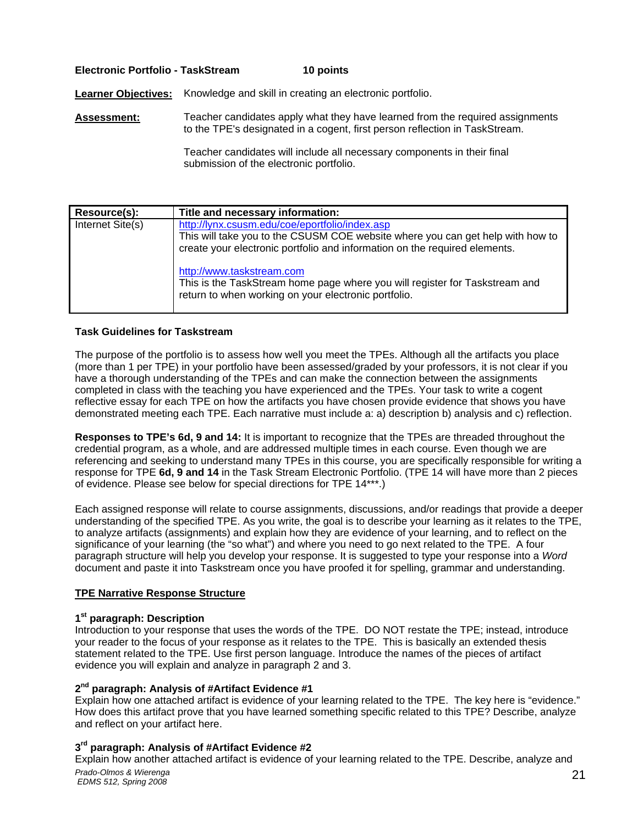#### **Electronic Portfolio - TaskStream 10 points**

Learner Objectives: Knowledge and skill in creating an electronic portfolio.

**Assessment:** Teacher candidates apply what they have learned from the required assignments to the TPE's designated in a cogent, first person reflection in TaskStream.

> Teacher candidates will include all necessary components in their final submission of the electronic portfolio.

| Resource(s):     | Title and necessary information:                                                                                                                                                                               |
|------------------|----------------------------------------------------------------------------------------------------------------------------------------------------------------------------------------------------------------|
| Internet Site(s) | http://lynx.csusm.edu/coe/eportfolio/index.asp<br>This will take you to the CSUSM COE website where you can get help with how to<br>create your electronic portfolio and information on the required elements. |
|                  | http://www.taskstream.com<br>This is the TaskStream home page where you will register for Taskstream and<br>return to when working on your electronic portfolio.                                               |

#### **Task Guidelines for Taskstream**

The purpose of the portfolio is to assess how well you meet the TPEs. Although all the artifacts you place (more than 1 per TPE) in your portfolio have been assessed/graded by your professors, it is not clear if you have a thorough understanding of the TPEs and can make the connection between the assignments completed in class with the teaching you have experienced and the TPEs. Your task to write a cogent reflective essay for each TPE on how the artifacts you have chosen provide evidence that shows you have demonstrated meeting each TPE. Each narrative must include a: a) description b) analysis and c) reflection.

**Responses to TPE's 6d, 9 and 14:** It is important to recognize that the TPEs are threaded throughout the credential program, as a whole, and are addressed multiple times in each course. Even though we are referencing and seeking to understand many TPEs in this course, you are specifically responsible for writing a response for TPE **6d, 9 and 14** in the Task Stream Electronic Portfolio. (TPE 14 will have more than 2 pieces of evidence. Please see below for special directions for TPE 14\*\*\*.)

Each assigned response will relate to course assignments, discussions, and/or readings that provide a deeper understanding of the specified TPE. As you write, the goal is to describe your learning as it relates to the TPE, to analyze artifacts (assignments) and explain how they are evidence of your learning, and to reflect on the significance of your learning (the "so what") and where you need to go next related to the TPE. A four paragraph structure will help you develop your response. It is suggested to type your response into a *Word*  document and paste it into Taskstream once you have proofed it for spelling, grammar and understanding.

#### **TPE Narrative Response Structure**

#### **1st paragraph: Description**

Introduction to your response that uses the words of the TPE. DO NOT restate the TPE; instead, introduce your reader to the focus of your response as it relates to the TPE. This is basically an extended thesis statement related to the TPE. Use first person language. Introduce the names of the pieces of artifact evidence you will explain and analyze in paragraph 2 and 3.

#### **2nd paragraph: Analysis of #Artifact Evidence #1**

Explain how one attached artifact is evidence of your learning related to the TPE. The key here is "evidence." How does this artifact prove that you have learned something specific related to this TPE? Describe, analyze and reflect on your artifact here.

### **3rd paragraph: Analysis of #Artifact Evidence #2**

Explain how another attached artifact is evidence of your learning related to the TPE. Describe, analyze and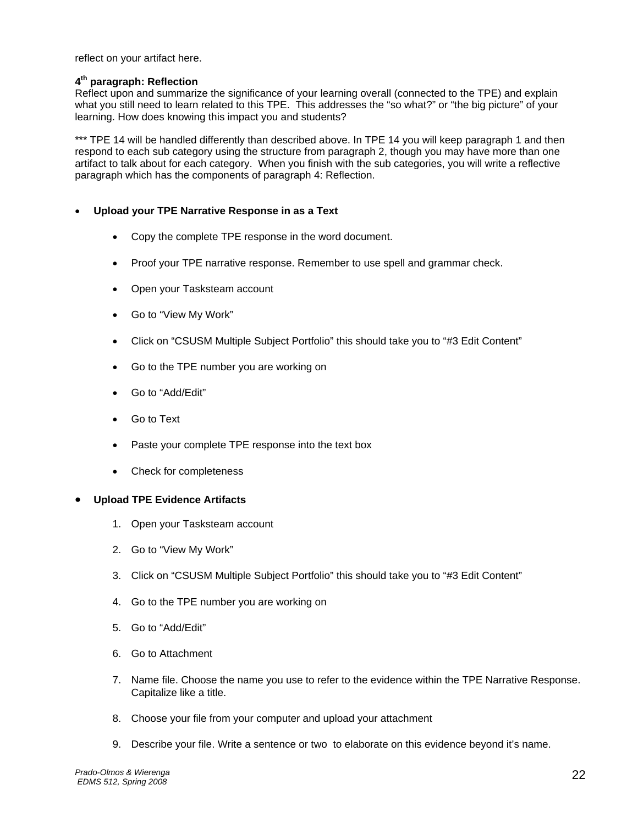reflect on your artifact here.

#### **4th paragraph: Reflection**

Reflect upon and summarize the significance of your learning overall (connected to the TPE) and explain what you still need to learn related to this TPE. This addresses the "so what?" or "the big picture" of your learning. How does knowing this impact you and students?

\*\*\* TPE 14 will be handled differently than described above. In TPE 14 you will keep paragraph 1 and then respond to each sub category using the structure from paragraph 2, though you may have more than one artifact to talk about for each category. When you finish with the sub categories, you will write a reflective paragraph which has the components of paragraph 4: Reflection.

#### • **Upload your TPE Narrative Response in as a Text**

- Copy the complete TPE response in the word document.
- Proof your TPE narrative response. Remember to use spell and grammar check.
- Open your Tasksteam account
- Go to "View My Work"
- Click on "CSUSM Multiple Subject Portfolio" this should take you to "#3 Edit Content"
- Go to the TPE number you are working on
- Go to "Add/Edit"
- Go to Text
- Paste your complete TPE response into the text box
- Check for completeness

#### • **Upload TPE Evidence Artifacts**

- 1. Open your Tasksteam account
- 2. Go to "View My Work"
- 3. Click on "CSUSM Multiple Subject Portfolio" this should take you to "#3 Edit Content"
- 4. Go to the TPE number you are working on
- 5. Go to "Add/Edit"
- 6. Go to Attachment
- 7. Name file. Choose the name you use to refer to the evidence within the TPE Narrative Response. Capitalize like a title.
- 8. Choose your file from your computer and upload your attachment
- 9. Describe your file. Write a sentence or two to elaborate on this evidence beyond it's name.